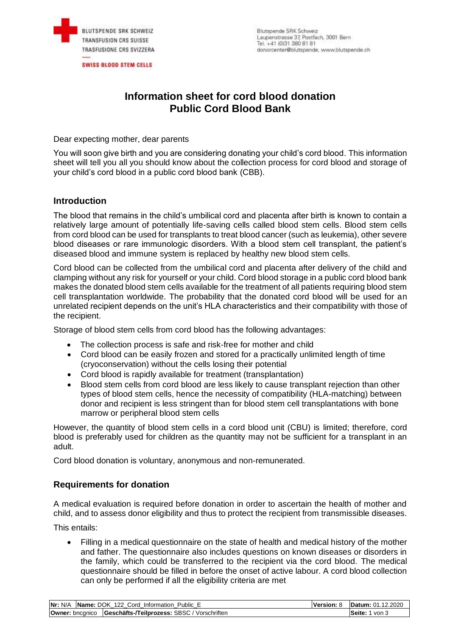

**SWISS BLOOD STEM CELLS** 

# **Information sheet for cord blood donation Public Cord Blood Bank**

Dear expecting mother, dear parents

You will soon give birth and you are considering donating your child's cord blood. This information sheet will tell you all you should know about the collection process for cord blood and storage of your child's cord blood in a public cord blood bank (CBB).

### **Introduction**

The blood that remains in the child's umbilical cord and placenta after birth is known to contain a relatively large amount of potentially life-saving cells called blood stem cells. Blood stem cells from cord blood can be used for transplants to treat blood cancer (such as leukemia), other severe blood diseases or rare immunologic disorders. With a blood stem cell transplant, the patient's diseased blood and immune system is replaced by healthy new blood stem cells.

Cord blood can be collected from the umbilical cord and placenta after delivery of the child and clamping without any risk for yourself or your child. Cord blood storage in a public cord blood bank makes the donated blood stem cells available for the treatment of all patients requiring blood stem cell transplantation worldwide. The probability that the donated cord blood will be used for an unrelated recipient depends on the unit's HLA characteristics and their compatibility with those of the recipient.

Storage of blood stem cells from cord blood has the following advantages:

- The collection process is safe and risk-free for mother and child
- Cord blood can be easily frozen and stored for a practically unlimited length of time (cryoconservation) without the cells losing their potential
- Cord blood is rapidly available for treatment (transplantation)
- Blood stem cells from cord blood are less likely to cause transplant rejection than other types of blood stem cells, hence the necessity of compatibility (HLA-matching) between donor and recipient is less stringent than for blood stem cell transplantations with bone marrow or peripheral blood stem cells

However, the quantity of blood stem cells in a cord blood unit (CBU) is limited; therefore, cord blood is preferably used for children as the quantity may not be sufficient for a transplant in an adult.

Cord blood donation is voluntary, anonymous and non-remunerated.

### **Requirements for donation**

A medical evaluation is required before donation in order to ascertain the health of mother and child, and to assess donor eligibility and thus to protect the recipient from transmissible diseases.

This entails:

 Filling in a medical questionnaire on the state of health and medical history of the mother and father. The questionnaire also includes questions on known diseases or disorders in the family, which could be transferred to the recipient via the cord blood. The medical questionnaire should be filled in before the onset of active labour. A cord blood collection can only be performed if all the eligibility criteria are met

| <b>Nr: N/A Name: DOK 122 Cord Information Public E</b>        | <b>Version: 8 Datum: 01.12.2020</b> |
|---------------------------------------------------------------|-------------------------------------|
| Owner: bncgnico   Geschäfts-/Teilprozess: SBSC / Vorschriften | Seite: 1 von 3                      |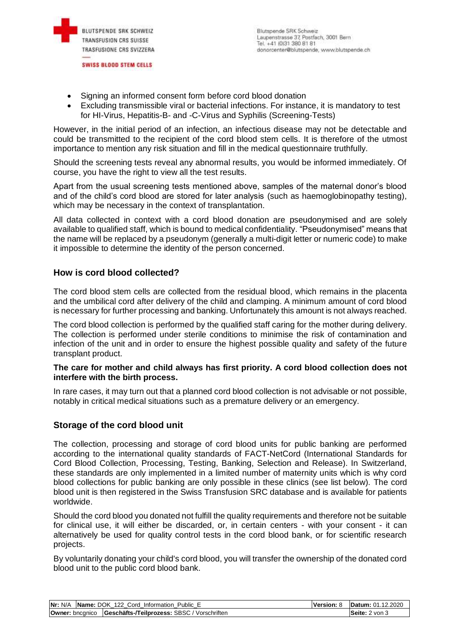

- Signing an informed consent form before cord blood donation
- Excluding transmissible viral or bacterial infections. For instance, it is mandatory to test for HI-Virus, Hepatitis-B- and -C-Virus and Syphilis (Screening-Tests)

However, in the initial period of an infection, an infectious disease may not be detectable and could be transmitted to the recipient of the cord blood stem cells. It is therefore of the utmost importance to mention any risk situation and fill in the medical questionnaire truthfully.

Should the screening tests reveal any abnormal results, you would be informed immediately. Of course, you have the right to view all the test results.

Apart from the usual screening tests mentioned above, samples of the maternal donor's blood and of the child's cord blood are stored for later analysis (such as haemoglobinopathy testing), which may be necessary in the context of transplantation.

All data collected in context with a cord blood donation are pseudonymised and are solely available to qualified staff, which is bound to medical confidentiality. "Pseudonymised" means that the name will be replaced by a pseudonym (generally a multi-digit letter or numeric code) to make it impossible to determine the identity of the person concerned.

# **How is cord blood collected?**

The cord blood stem cells are collected from the residual blood, which remains in the placenta and the umbilical cord after delivery of the child and clamping. A minimum amount of cord blood is necessary for further processing and banking. Unfortunately this amount is not always reached.

The cord blood collection is performed by the qualified staff caring for the mother during delivery. The collection is performed under sterile conditions to minimise the risk of contamination and infection of the unit and in order to ensure the highest possible quality and safety of the future transplant product.

#### **The care for mother and child always has first priority. A cord blood collection does not interfere with the birth process.**

In rare cases, it may turn out that a planned cord blood collection is not advisable or not possible, notably in critical medical situations such as a premature delivery or an emergency.

### **Storage of the cord blood unit**

The collection, processing and storage of cord blood units for public banking are performed according to the international quality standards of FACT-NetCord (International Standards for Cord Blood Collection, Processing, Testing, Banking, Selection and Release). In Switzerland, these standards are only implemented in a limited number of maternity units which is why cord blood collections for public banking are only possible in these clinics (see list below). The cord blood unit is then registered in the Swiss Transfusion SRC database and is available for patients worldwide.

Should the cord blood you donated not fulfill the quality requirements and therefore not be suitable for clinical use, it will either be discarded, or, in certain centers - with your consent - it can alternatively be used for quality control tests in the cord blood bank, or for scientific research projects.

By voluntarily donating your child's cord blood, you will transfer the ownership of the donated cord blood unit to the public cord blood bank.

|  | Nr: N/A   Name: DOK 122 Cord Information Public E             | <b>Version: 8</b> | <b>Datum: 01.12.2020</b> |
|--|---------------------------------------------------------------|-------------------|--------------------------|
|  | Owner: bncgnico   Geschäfts-/Teilprozess: SBSC / Vorschriften |                   | <b>ISeite:</b> 2 von 3   |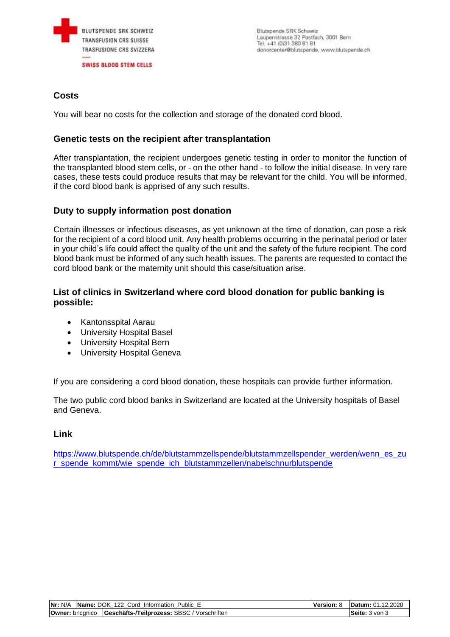

Blutspende SRK Schweiz Laupenstrasse 37, Postfach, 3001 Bern Tel. +41 (0)31 380 81 81 donorcenter@blutspende, www.blutspende.ch

# **Costs**

You will bear no costs for the collection and storage of the donated cord blood.

# **Genetic tests on the recipient after transplantation**

After transplantation, the recipient undergoes genetic testing in order to monitor the function of the transplanted blood stem cells, or - on the other hand - to follow the initial disease. In very rare cases, these tests could produce results that may be relevant for the child. You will be informed, if the cord blood bank is apprised of any such results.

# **Duty to supply information post donation**

Certain illnesses or infectious diseases, as yet unknown at the time of donation, can pose a risk for the recipient of a cord blood unit. Any health problems occurring in the perinatal period or later in your child's life could affect the quality of the unit and the safety of the future recipient. The cord blood bank must be informed of any such health issues. The parents are requested to contact the cord blood bank or the maternity unit should this case/situation arise.

# **List of clinics in Switzerland where cord blood donation for public banking is possible:**

- Kantonsspital Aarau
- University Hospital Basel
- University Hospital Bern
- University Hospital Geneva

If you are considering a cord blood donation, these hospitals can provide further information.

The two public cord blood banks in Switzerland are located at the University hospitals of Basel and Geneva.

# **Link**

https://www.blutspende.ch/de/blutstammzellspende/blutstammzellspender\_werden/wenn\_es\_zu r\_spende\_kommt/wie\_spende\_ich\_blutstammzellen/nabelschnurblutspende

| Nr:<br>N/A             | <b>Name: DOK 122 Cord Information</b><br>Public E  | Version: | Datum: 01.12.2020 |
|------------------------|----------------------------------------------------|----------|-------------------|
| <b>Owner:</b> bncanico | <b>Geschäfts-/Teilprozess: SBSC / Vorschriften</b> |          | Seite: 3 von 3    |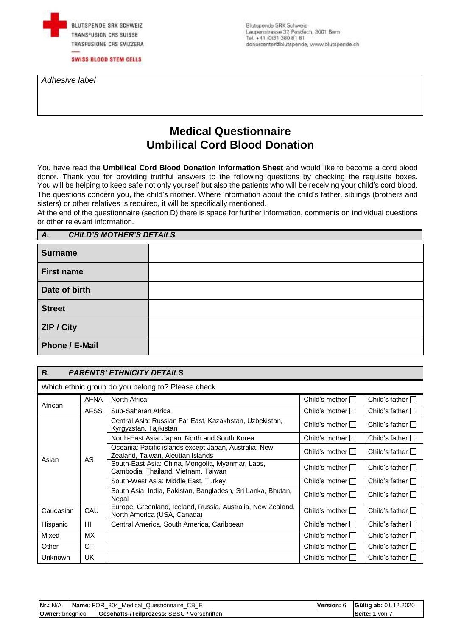

Blutspende SRK Schweiz Laupenstrasse 37, Postfach, 3001 Bern Tel. +41 (0)31 380 81 81 donorcenter@blutspende, www.blutspende.ch

*Adhesive label*

# **Medical Questionnaire Umbilical Cord Blood Donation**

You have read the **Umbilical Cord Blood Donation Information Sheet** and would like to become a cord blood donor. Thank you for providing truthful answers to the following questions by checking the requisite boxes. You will be helping to keep safe not only yourself but also the patients who will be receiving your child's cord blood. The questions concern you, the child's mother. Where information about the child's father, siblings (brothers and sisters) or other relatives is required, it will be specifically mentioned.

At the end of the questionnaire (section D) there is space for further information, comments on individual questions or other relevant information.

| <b>CHILD'S MOTHER'S DETAILS</b><br>A. |  |  |  |  |  |
|---------------------------------------|--|--|--|--|--|
| <b>Surname</b>                        |  |  |  |  |  |
| <b>First name</b>                     |  |  |  |  |  |
| Date of birth                         |  |  |  |  |  |
| <b>Street</b>                         |  |  |  |  |  |
| ZIP / City                            |  |  |  |  |  |
| Phone / E-Mail                        |  |  |  |  |  |

### *B. PARENTS' ETHNICITY DETAILS*

Which ethnic group do you belong to? Please check.

| African        | <b>AFNA</b> | North Africa                                                                               | Child's mother        | Child's father $\Box$   |
|----------------|-------------|--------------------------------------------------------------------------------------------|-----------------------|-------------------------|
|                | <b>AFSS</b> | Sub-Saharan Africa                                                                         | Child's mother $\Box$ | Child's father $\Box$   |
|                |             | Central Asia: Russian Far East, Kazakhstan, Uzbekistan,<br>Kyrgyzstan, Tajikistan          | Child's mother $\Box$ | Child's father $\Box$   |
|                |             | North-East Asia: Japan, North and South Korea                                              | Child's mother $\Box$ | Child's father $\Box$   |
| AS<br>Asian    |             | Oceania: Pacific islands except Japan, Australia, New<br>Zealand, Taiwan, Aleutian Islands | Child's mother $\Box$ | Child's father $\Box$   |
|                |             | South-East Asia: China, Mongolia, Myanmar, Laos,<br>Cambodia, Thailand, Vietnam, Taiwan    | Child's mother $\Box$ | Child's father $\Box$   |
|                |             | South-West Asia: Middle East, Turkey                                                       | Child's mother $\Box$ | Child's father <b>D</b> |
|                |             | South Asia: India, Pakistan, Bangladesh, Sri Lanka, Bhutan,<br>Nepal                       | Child's mother $\Box$ | Child's father $\Box$   |
| Caucasian      | CAU         | Europe, Greenland, Iceland, Russia, Australia, New Zealand,<br>North America (USA, Canada) | Child's mother $\Box$ | Child's father $\Box$   |
| Hispanic       | HI          | Central America, South America, Caribbean                                                  | Child's mother $\Box$ | Child's father $\Box$   |
| Mixed          | МX          |                                                                                            | Child's mother $\Box$ | Child's father $\Box$   |
| Other          | <b>OT</b>   |                                                                                            | Child's mother $\Box$ | Child's father $\Box$   |
| <b>Unknown</b> | <b>UK</b>   |                                                                                            | Child's mother $\Box$ | Child's father $\Box$   |

| Nr.: N/A               | Name: FOR<br>' Medical Questionnaire CB E<br>304 | <b>Gültig ab: 01.12.2020</b> |
|------------------------|--------------------------------------------------|------------------------------|
| <b>Owner:</b> bncanico | Geschäfts-/Teilprozess: SBSC / Vorschriften      | Seite:<br>von                |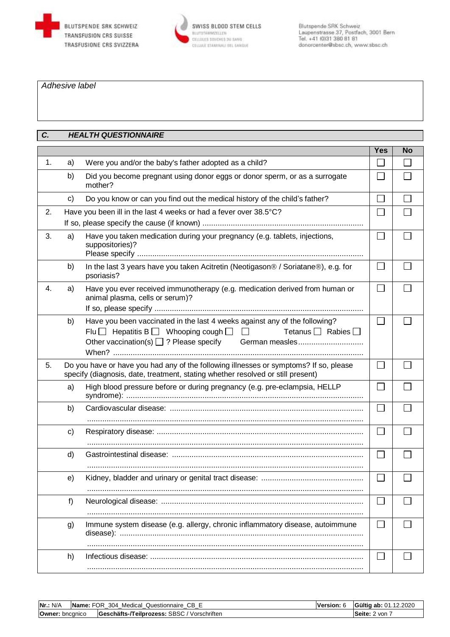



#### *Adhesive label*

### *C. HEALTH QUESTIONNAIRE*

|    |    |                                                                                                                                                                                                                            | <b>Yes</b>               | <b>No</b> |
|----|----|----------------------------------------------------------------------------------------------------------------------------------------------------------------------------------------------------------------------------|--------------------------|-----------|
| 1. | a) | Were you and/or the baby's father adopted as a child?                                                                                                                                                                      |                          |           |
|    | b) | Did you become pregnant using donor eggs or donor sperm, or as a surrogate<br>mother?                                                                                                                                      |                          |           |
|    | c) | Do you know or can you find out the medical history of the child's father?                                                                                                                                                 |                          |           |
| 2. |    | Have you been ill in the last 4 weeks or had a fever over 38.5°C?                                                                                                                                                          |                          |           |
| 3. | a) | Have you taken medication during your pregnancy (e.g. tablets, injections,<br>suppositories)?                                                                                                                              | $\vert \ \ \vert$        |           |
|    | b) | In the last 3 years have you taken Acitretin (Neotigason® / Soriatane®), e.g. for<br>psoriasis?                                                                                                                            | $\mathbf{L}$             |           |
| 4. | a) | Have you ever received immunotherapy (e.g. medication derived from human or<br>animal plasma, cells or serum)?                                                                                                             |                          |           |
|    | b) | Have you been vaccinated in the last 4 weeks against any of the following?<br>Flu $\Box$ Hepatitis B $\Box$ Whooping cough $\Box$<br>Tetanus $\Box$ Rabies $\Box$<br>Other vaccination(s) 2? Please specify German measles | <b>CO</b>                |           |
| 5. |    | Do you have or have you had any of the following illnesses or symptoms? If so, please<br>specify (diagnosis, date, treatment, stating whether resolved or still present)                                                   | I.                       |           |
|    | a) | High blood pressure before or during pregnancy (e.g. pre-eclampsia, HELLP                                                                                                                                                  | <b>College</b>           |           |
|    | b) |                                                                                                                                                                                                                            | $\overline{\phantom{a}}$ |           |
|    | c) |                                                                                                                                                                                                                            | $\Box$                   |           |
|    | d) |                                                                                                                                                                                                                            | $\overline{\phantom{0}}$ |           |
|    | e) |                                                                                                                                                                                                                            |                          |           |
|    | f) |                                                                                                                                                                                                                            |                          |           |
|    | g) | Immune system disease (e.g. allergy, chronic inflammatory disease, autoimmune                                                                                                                                              |                          |           |
|    | h) |                                                                                                                                                                                                                            |                          |           |

| Nr.: N/A               | <b>Name:</b> FOR 304 Medical Questionnaire CB E | Version: 6 | Gültig ab: 01.12.2020   |
|------------------------|-------------------------------------------------|------------|-------------------------|
| <b>Owner:</b> bncgnico | Geschäfts-/Teilprozess: SBSC / Vorschriften     |            | l <b>Seite:</b> 2 von ∃ |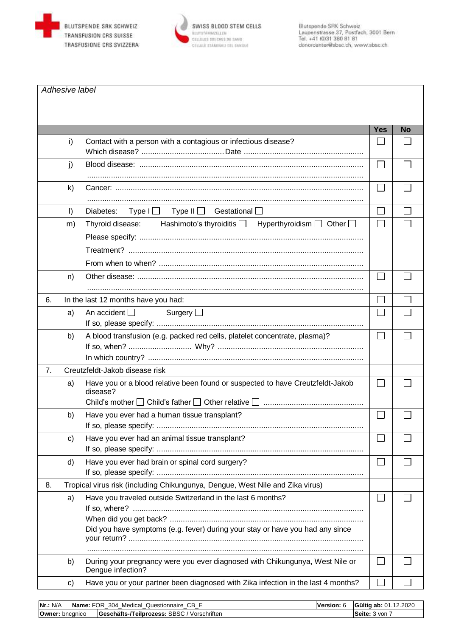



|    | Adhesive label |                                                                                                                                              |              |           |
|----|----------------|----------------------------------------------------------------------------------------------------------------------------------------------|--------------|-----------|
|    |                |                                                                                                                                              | <b>Yes</b>   | <b>No</b> |
|    | i)             | Contact with a person with a contagious or infectious disease?                                                                               |              |           |
|    | j)             |                                                                                                                                              |              |           |
|    | k)             |                                                                                                                                              | $\mathbf{L}$ |           |
|    | $\vert$        | Type I   Type II   Gestational  <br>Diabetes:                                                                                                | l.           |           |
|    | m)             | Hashimoto's thyroiditis $\Box$ Hyperthyroidism $\Box$ Other $\Box$<br>Thyroid disease:                                                       |              |           |
|    | n)             |                                                                                                                                              | $\Box$       |           |
| 6. |                | In the last 12 months have you had:                                                                                                          |              |           |
|    | a)             | An accident $\square$<br>Surgery $\Box$                                                                                                      | $\mathbb{R}$ |           |
|    | b)             | A blood transfusion (e.g. packed red cells, platelet concentrate, plasma)?                                                                   | $\Box$       |           |
| 7. |                | Creutzfeldt-Jakob disease risk                                                                                                               |              |           |
|    | a)             | Have you or a blood relative been found or suspected to have Creutzfeldt-Jakob<br>disease?                                                   |              |           |
|    | b)             | Have you ever had a human tissue transplant?                                                                                                 |              |           |
|    | c)             | Have you ever had an animal tissue transplant?                                                                                               | L            |           |
|    | d)             | Have you ever had brain or spinal cord surgery?                                                                                              | $\mathbf{L}$ |           |
| 8. |                | Tropical virus risk (including Chikungunya, Dengue, West Nile and Zika virus)                                                                |              |           |
|    | a)             | Have you traveled outside Switzerland in the last 6 months?<br>Did you have symptoms (e.g. fever) during your stay or have you had any since | L            |           |
|    | b)             | During your pregnancy were you ever diagnosed with Chikungunya, West Nile or<br>Dengue infection?                                            |              |           |
|    | c)             | Have you or your partner been diagnosed with Zika infection in the last 4 months?                                                            |              |           |

| Nr.: N/A               | Name: FOR 304 Medical Questionnaire CB E    | lVersion: 6 | Gültig ab: 01.12.2020 |
|------------------------|---------------------------------------------|-------------|-----------------------|
| <b>Owner: bncgnico</b> | Geschäfts-/Teilprozess: SBSC / Vorschriften |             | <b>Seite:</b> 3 von   |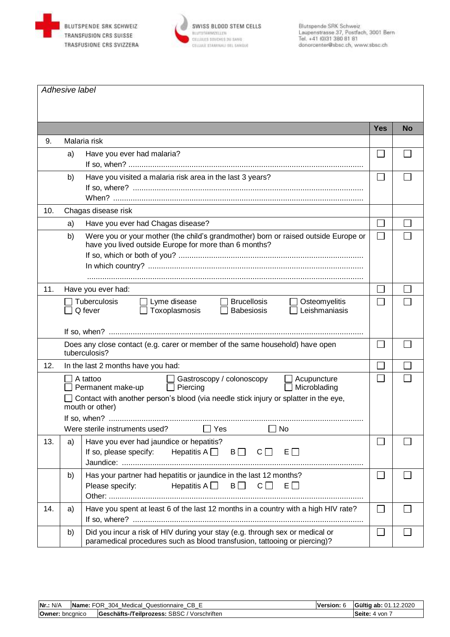

 $\overline{1}$ 



|     | Adhesive label |                                                                                                                                                                                                                                                                       |              |           |
|-----|----------------|-----------------------------------------------------------------------------------------------------------------------------------------------------------------------------------------------------------------------------------------------------------------------|--------------|-----------|
|     |                |                                                                                                                                                                                                                                                                       | <b>Yes</b>   | <b>No</b> |
| 9.  |                | Malaria risk                                                                                                                                                                                                                                                          |              |           |
|     | a)             | Have you ever had malaria?                                                                                                                                                                                                                                            |              |           |
|     | b)             | Have you visited a malaria risk area in the last 3 years?                                                                                                                                                                                                             |              |           |
| 10. |                | Chagas disease risk                                                                                                                                                                                                                                                   |              |           |
|     | a)             | Have you ever had Chagas disease?                                                                                                                                                                                                                                     |              |           |
|     | b)             | Were you or your mother (the child's grandmother) born or raised outside Europe or<br>have you lived outside Europe for more than 6 months?                                                                                                                           |              |           |
| 11. |                | Have you ever had:                                                                                                                                                                                                                                                    |              |           |
|     |                | Tuberculosis<br><b>Brucellosis</b><br>Lyme disease<br>Osteomyelitis<br>Q fever<br>Toxoplasmosis<br>Leishmaniasis<br><b>Babesiosis</b>                                                                                                                                 |              |           |
|     |                | Does any close contact (e.g. carer or member of the same household) have open<br>tuberculosis?                                                                                                                                                                        |              |           |
| 12. |                | In the last 2 months have you had:                                                                                                                                                                                                                                    |              |           |
|     |                | A tattoo<br>Acupuncture<br>Gastroscopy / colonoscopy<br>Permanent make-up<br>Piercing<br>Microblading<br>Contact with another person's blood (via needle stick injury or splatter in the eye,<br>mouth or other)<br>Were sterile instruments used? □ Yes<br><b>No</b> |              |           |
| 13. | a)             | Have you ever had jaundice or hepatitis?<br>If so, please specify:<br>Hepatitis A $\Box$<br>B<br>$C \Box$<br>$E \Box$                                                                                                                                                 |              |           |
|     | b)             | Has your partner had hepatitis or jaundice in the last 12 months?<br>Please specify:<br>Hepatitis A $\Box$ B $\Box$<br>$C \Box$<br>$E \Box$                                                                                                                           | $\mathsf{I}$ |           |
| 14. | a)             | Have you spent at least 6 of the last 12 months in a country with a high HIV rate?                                                                                                                                                                                    |              |           |
|     | b)             | Did you incur a risk of HIV during your stay (e.g. through sex or medical or<br>paramedical procedures such as blood transfusion, tattooing or piercing)?                                                                                                             |              |           |

| Nr.: N/A               | Name: FOR 304 Medical Questionnaire CB E    | <b>Version:</b> 6 | Gültig ab: 01.12.2020 |
|------------------------|---------------------------------------------|-------------------|-----------------------|
| <b>Owner:</b> bncanico | Geschäfts-/Teilprozess: SBSC / Vorschriften |                   | Seite:<br>4 von       |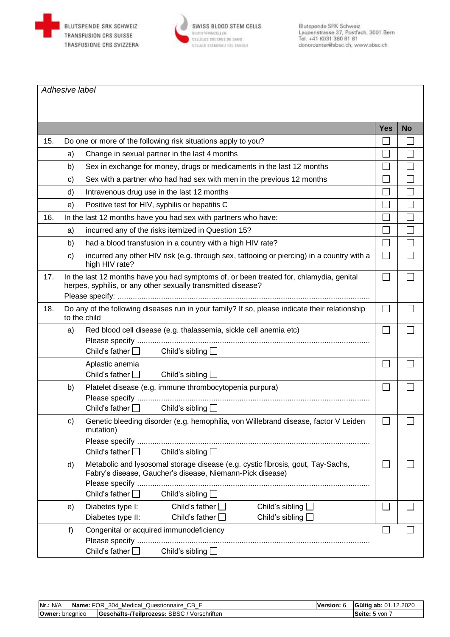

*Adhesive label*



|     |                                                                                                                                                                                                          | <b>Yes</b> | <b>No</b> |  |
|-----|----------------------------------------------------------------------------------------------------------------------------------------------------------------------------------------------------------|------------|-----------|--|
| 15. | Do one or more of the following risk situations apply to you?                                                                                                                                            |            |           |  |
|     | Change in sexual partner in the last 4 months<br>a)                                                                                                                                                      |            |           |  |
|     | Sex in exchange for money, drugs or medicaments in the last 12 months<br>b)                                                                                                                              |            |           |  |
|     | Sex with a partner who had had sex with men in the previous 12 months<br>$\mathbf{C}$                                                                                                                    |            |           |  |
|     | d)<br>Intravenous drug use in the last 12 months                                                                                                                                                         |            |           |  |
|     | Positive test for HIV, syphilis or hepatitis C<br>e)                                                                                                                                                     |            |           |  |
| 16. | In the last 12 months have you had sex with partners who have:                                                                                                                                           |            | Ξ         |  |
|     | incurred any of the risks itemized in Question 15?<br>a)                                                                                                                                                 |            |           |  |
|     | b)<br>had a blood transfusion in a country with a high HIV rate?                                                                                                                                         |            |           |  |
|     | $\mathsf{c})$<br>incurred any other HIV risk (e.g. through sex, tattooing or piercing) in a country with a<br>high HIV rate?                                                                             |            |           |  |
| 17. | In the last 12 months have you had symptoms of, or been treated for, chlamydia, genital<br>herpes, syphilis, or any other sexually transmitted disease?                                                  |            |           |  |
| 18. | Do any of the following diseases run in your family? If so, please indicate their relationship<br>to the child                                                                                           | $\sim$     |           |  |
|     | Red blood cell disease (e.g. thalassemia, sickle cell anemia etc)<br>a)<br>Child's father $\Box$<br>Child's sibling $\Box$                                                                               |            |           |  |
|     | Aplastic anemia<br>Child's father $\Box$<br>Child's sibling $\Box$                                                                                                                                       |            |           |  |
|     | Platelet disease (e.g. immune thrombocytopenia purpura)<br>b)<br>Child's father $\Box$<br>Child's sibling $\Box$                                                                                         |            |           |  |
|     | Genetic bleeding disorder (e.g. hemophilia, von Willebrand disease, factor V Leiden<br>C)<br>mutation)<br>Child's father $\Box$<br>Child's sibling $\Box$                                                |            |           |  |
|     | Metabolic and lysosomal storage disease (e.g. cystic fibrosis, gout, Tay-Sachs,<br>d)<br>Fabry's disease, Gaucher's disease, Niemann-Pick disease)<br>Child's sibling $\square$<br>Child's father $\Box$ |            |           |  |
|     | Child's father $\Box$<br>Child's sibling $\square$<br>Diabetes type I:<br>e)<br>Child's father $\square$<br>Child's sibling<br>Diabetes type II:                                                         |            |           |  |
|     | Congenital or acquired immunodeficiency<br>f)<br>Child's father $\square$<br>Child's sibling $\Box$                                                                                                      |            |           |  |

| Nr.: N/A               | <b>Name:</b> FOR 304 Medical Questionnaire CB E | Version: 6 | Gültig ab: 01.12.2020 |
|------------------------|-------------------------------------------------|------------|-----------------------|
| <b>Owner:</b> bncanico | Geschäfts-/Teilprozess: SBSC / Vorschriften     |            | Seite: 5 von          |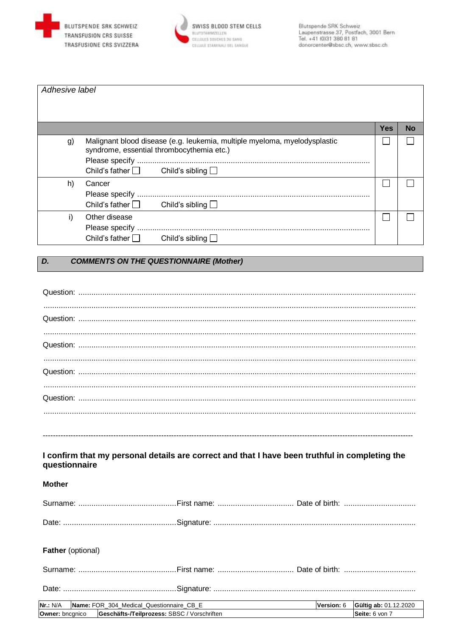



| Adhesive label |                                                                                                                        |            |    |
|----------------|------------------------------------------------------------------------------------------------------------------------|------------|----|
|                |                                                                                                                        |            |    |
|                |                                                                                                                        |            |    |
|                |                                                                                                                        | <b>Yes</b> | No |
| g)             | Malignant blood disease (e.g. leukemia, multiple myeloma, myelodysplastic<br>syndrome, essential thrombocythemia etc.) |            |    |
|                |                                                                                                                        |            |    |
|                | Child's father $\Box$ Child's sibling $\Box$                                                                           |            |    |
| h)             | Cancer                                                                                                                 |            |    |
|                |                                                                                                                        |            |    |
|                | Child's sibling $\Box$<br>Child's father $\Box$                                                                        |            |    |
| i)             | Other disease                                                                                                          |            |    |
|                |                                                                                                                        |            |    |
|                | Child's father $\Box$<br>Child's sibling $\Box$                                                                        |            |    |

#### $\overline{D}$ . **COMMENTS ON THE QUESTIONNAIRE (Mother)**

| I confirm that my personal details are correct and that I have been truthful in completing the<br>questionnaire |            |                       |
|-----------------------------------------------------------------------------------------------------------------|------------|-----------------------|
| <b>Mother</b>                                                                                                   |            |                       |
|                                                                                                                 |            |                       |
|                                                                                                                 |            |                       |
|                                                                                                                 |            |                       |
|                                                                                                                 |            |                       |
| Father (optional)                                                                                               |            |                       |
|                                                                                                                 |            |                       |
|                                                                                                                 |            |                       |
| Name: FOR_304_Medical_Questionnaire_CB_E<br><b>Nr.: N/A</b>                                                     | Version: 6 | Gültig ab: 01.12.2020 |